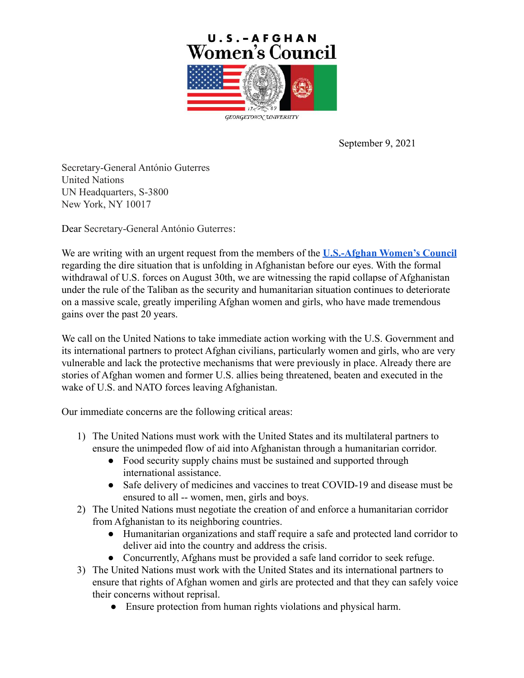

September 9, 2021

Secretary-General António Guterres United Nations UN Headquarters, S-3800 New York, NY 10017

Dear Secretary-General António Guterres:

We are writing with an urgent request from the members of the **[U.S.-Afghan Women's Council](https://gucchd.georgetown.edu/USAWC/)** regarding the dire situation that is unfolding in Afghanistan before our eyes. With the formal withdrawal of U.S. forces on August 30th, we are witnessing the rapid collapse of Afghanistan under the rule of the Taliban as the security and humanitarian situation continues to deteriorate on a massive scale, greatly imperiling Afghan women and girls, who have made tremendous gains over the past 20 years.

We call on the United Nations to take immediate action working with the U.S. Government and its international partners to protect Afghan civilians, particularly women and girls, who are very vulnerable and lack the protective mechanisms that were previously in place. Already there are stories of Afghan women and former U.S. allies being threatened, beaten and executed in the wake of U.S. and NATO forces leaving Afghanistan.

Our immediate concerns are the following critical areas:

- 1) The United Nations must work with the United States and its multilateral partners to ensure the unimpeded flow of aid into Afghanistan through a humanitarian corridor.
	- Food security supply chains must be sustained and supported through international assistance.
	- Safe delivery of medicines and vaccines to treat COVID-19 and disease must be ensured to all -- women, men, girls and boys.
- 2) The United Nations must negotiate the creation of and enforce a humanitarian corridor from Afghanistan to its neighboring countries.
	- Humanitarian organizations and staff require a safe and protected land corridor to deliver aid into the country and address the crisis.
	- Concurrently, Afghans must be provided a safe land corridor to seek refuge.
- 3) The United Nations must work with the United States and its international partners to ensure that rights of Afghan women and girls are protected and that they can safely voice their concerns without reprisal.
	- Ensure protection from human rights violations and physical harm.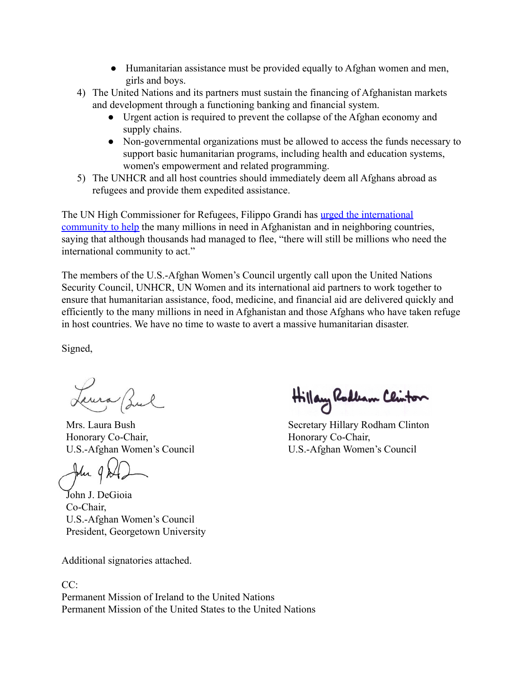- Humanitarian assistance must be provided equally to Afghan women and men, girls and boys.
- 4) The United Nations and its partners must sustain the financing of Afghanistan markets and development through a functioning banking and financial system.
	- Urgent action is required to prevent the collapse of the Afghan economy and supply chains.
	- Non-governmental organizations must be allowed to access the funds necessary to support basic humanitarian programs, including health and education systems, women's empowerment and related programming.
- 5) The UNHCR and all host countries should immediately deem all Afghans abroad as refugees and provide them expedited assistance.

The UN High Commissioner for Refugees, Filippo Grandi has [urged the international](https://news.un.org/en/story/2021/08/1098762) [community to help](https://news.un.org/en/story/2021/08/1098762) the many millions in need in Afghanistan and in neighboring countries, saying that although thousands had managed to flee, "there will still be millions who need the international community to act."

The members of the U.S.-Afghan Women's Council urgently call upon the United Nations Security Council, UNHCR, UN Women and its international aid partners to work together to ensure that humanitarian assistance, food, medicine, and financial aid are delivered quickly and efficiently to the many millions in need in Afghanistan and those Afghans who have taken refuge in host countries. We have no time to waste to avert a massive humanitarian disaster.

Signed,

Leura Bul

Mrs. Laura Bush Honorary Co-Chair, U.S.-Afghan Women's Council

John J. DeGioia Co-Chair, U.S.-Afghan Women's Council President, Georgetown University

Additional signatories attached.

CC: Permanent Mission of Ireland to the United Nations Permanent Mission of the United States to the United Nations

Hillary Rodban Clinton

Secretary Hillary Rodham Clinton Honorary Co-Chair, U.S.-Afghan Women's Council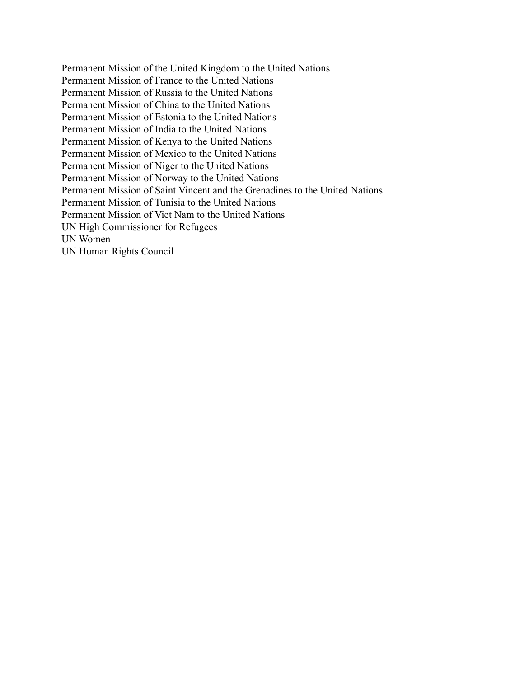Permanent Mission of the United Kingdom to the United Nations Permanent Mission of France to the United Nations Permanent Mission of Russia to the United Nations Permanent Mission of China to the United Nations Permanent Mission of Estonia to the United Nations Permanent Mission of India to the United Nations Permanent Mission of Kenya to the United Nations Permanent Mission of Mexico to the United Nations Permanent Mission of Niger to the United Nations Permanent Mission of Norway to the United Nations Permanent Mission of Saint Vincent and the Grenadines to the United Nations Permanent Mission of Tunisia to the United Nations Permanent Mission of Viet Nam to the United Nations UN High Commissioner for Refugees UN Women UN Human Rights Council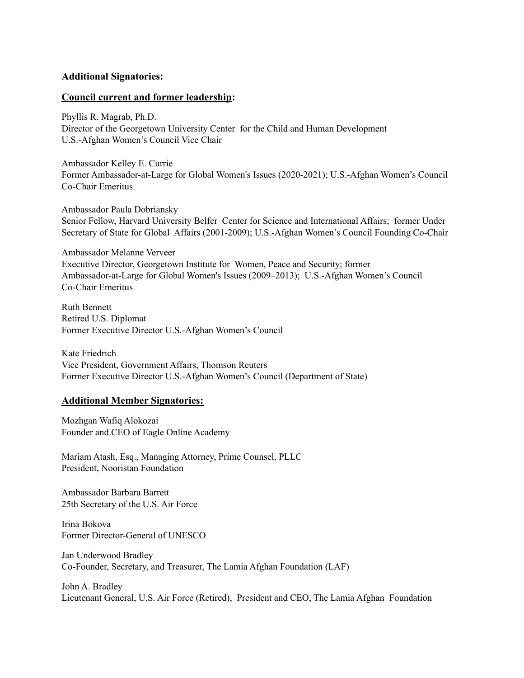## **Additional Signatories:**

## **Council current and former leadership:**

Phyllis R. Magrab, Ph.D. Director of the Georgetown University Center for the Child and Human Development U.S.-Afghan Women's Council Vice Chair

Ambassador Kelley E. Currie Former Ambassador-at-Large for Global Women's Issues (2020-2021); U.S.-Afghan Women's Council Co-Chair Emeritus

Ambassador Paula Dobriansky Senior Fellow, Harvard University Belfer Center for Science and International Affairs; former Under Secretary of State for Global Affairs (2001-2009); U.S.-Afghan Women's Council Founding Co-Chair

Ambassador Melanne Verveer Executive Director, Georgetown Institute for Women, Peace and Security; former Ambassador-at-Large for Global Women's Issues (2009–2013); U.S.-Afghan Women's Council Co-Chair Emeritus

Ruth Bennett Retired U.S. Diplomat Former Executive Director U.S.-Afghan Women's Council

Kate Friedrich Vice President, Government Affairs, Thomson Reuters Former Executive Director U.S.-Afghan Women's Council (Department of State)

## **Additional Member Signatories:**

Mozhgan Wafiq Alokozai Founder and CEO of Eagle Online Academy

Mariam Atash, Esq., Managing Attorney, Prime Counsel, PLLC President, Nooristan Foundation

Ambassador Barbara Barrett 25th Secretary of the U.S. Air Force

Irina Bokova Former Director-General of UNESCO

Jan Underwood Bradley Co-Founder, Secretary, and Treasurer, The Lamia Afghan Foundation (LAF)

John A. Bradley Lieutenant General, U.S. Air Force (Retired), President and CEO, The Lamia Afghan Foundation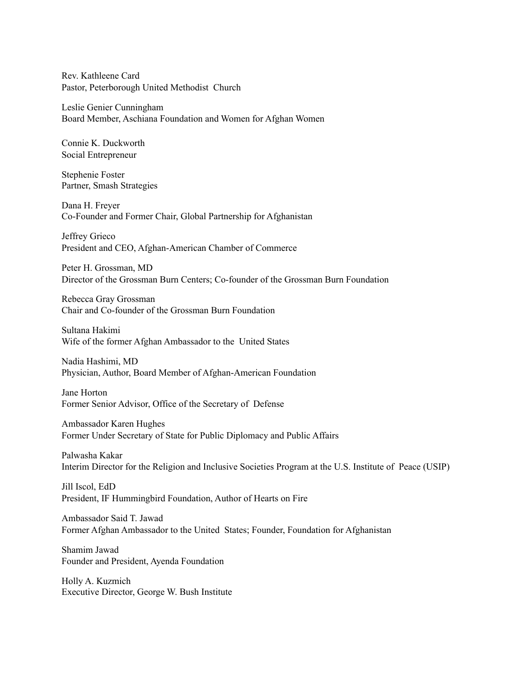Rev. Kathleene Card Pastor, Peterborough United Methodist Church

Leslie Genier Cunningham Board Member, Aschiana Foundation and Women for Afghan Women

Connie K. Duckworth Social Entrepreneur

Stephenie Foster Partner, Smash Strategies

Dana H. Freyer Co-Founder and Former Chair, Global Partnership for Afghanistan

Jeffrey Grieco President and CEO, Afghan-American Chamber of Commerce

Peter H. Grossman, MD Director of the Grossman Burn Centers; Co-founder of the Grossman Burn Foundation

Rebecca Gray Grossman Chair and Co-founder of the Grossman Burn Foundation

Sultana Hakimi Wife of the former Afghan Ambassador to the United States

Nadia Hashimi, MD Physician, Author, Board Member of Afghan-American Foundation

Jane Horton Former Senior Advisor, Office of the Secretary of Defense

Ambassador Karen Hughes Former Under Secretary of State for Public Diplomacy and Public Affairs

Palwasha Kakar Interim Director for the Religion and Inclusive Societies Program at the U.S. Institute of Peace (USIP)

Jill Iscol, EdD President, IF Hummingbird Foundation, Author of Hearts on Fire

Ambassador Said T. Jawad Former Afghan Ambassador to the United States; Founder, Foundation for Afghanistan

Shamim Jawad Founder and President, Ayenda Foundation

Holly A. Kuzmich Executive Director, George W. Bush Institute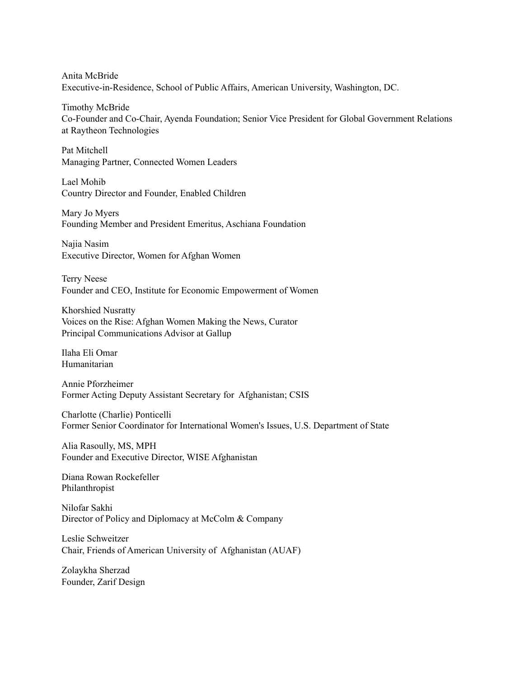Anita McBride Executive-in-Residence, School of Public Affairs, American University, Washington, DC.

Timothy McBride Co-Founder and Co-Chair, Ayenda Foundation; Senior Vice President for Global Government Relations at Raytheon Technologies

Pat Mitchell Managing Partner, Connected Women Leaders

Lael Mohib Country Director and Founder, Enabled Children

Mary Jo Myers Founding Member and President Emeritus, Aschiana Foundation

Najia Nasim Executive Director, Women for Afghan Women

Terry Neese Founder and CEO, Institute for Economic Empowerment of Women

Khorshied Nusratty Voices on the Rise: Afghan Women Making the News, Curator Principal Communications Advisor at Gallup

Ilaha Eli Omar Humanitarian

Annie Pforzheimer Former Acting Deputy Assistant Secretary for Afghanistan; CSIS

Charlotte (Charlie) Ponticelli Former Senior Coordinator for International Women's Issues, U.S. Department of State

Alia Rasoully, MS, MPH Founder and Executive Director, WISE Afghanistan

Diana Rowan Rockefeller Philanthropist

Nilofar Sakhi Director of Policy and Diplomacy at McColm & Company

Leslie Schweitzer Chair, Friends of American University of Afghanistan (AUAF)

Zolaykha Sherzad Founder, Zarif Design